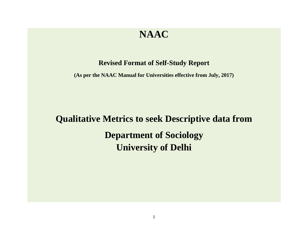## **NAAC**

## **Revised Format of Self-Study Report**

**(As per the NAAC Manual for Universities effective from July, 2017)**

## **Qualitative Metrics to seek Descriptive data from Department of Sociology University of Delhi**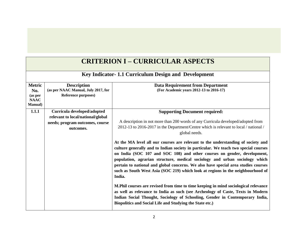| <b>CRITERION I - CURRICULAR ASPECTS</b>                           |                                                                                                                  |                                                                                                                                                                                                                                                                                                                                                                                                                                                                                                                                                                                                                                                                                                                                                                                                                                              |  |
|-------------------------------------------------------------------|------------------------------------------------------------------------------------------------------------------|----------------------------------------------------------------------------------------------------------------------------------------------------------------------------------------------------------------------------------------------------------------------------------------------------------------------------------------------------------------------------------------------------------------------------------------------------------------------------------------------------------------------------------------------------------------------------------------------------------------------------------------------------------------------------------------------------------------------------------------------------------------------------------------------------------------------------------------------|--|
|                                                                   | Key Indicator-1.1 Curriculum Design and Development                                                              |                                                                                                                                                                                                                                                                                                                                                                                                                                                                                                                                                                                                                                                                                                                                                                                                                                              |  |
| <b>Metric</b><br>No.<br>(as per<br><b>NAAC</b><br><b>Manual</b> ) | <b>Description</b><br>(as per NAAC Manual, July 2017, for<br><b>Reference purposes)</b>                          | <b>Data Requirement from Department</b><br>(For Academic years 2012-13 to 2016-17)                                                                                                                                                                                                                                                                                                                                                                                                                                                                                                                                                                                                                                                                                                                                                           |  |
| 1.1.1                                                             | Curricula developed/adopted<br>relevant to local/national/global<br>needs; program outcomes, course<br>outcomes. | <b>Supporting Document required:</b><br>A description in not more than 200 words of any Curricula developed/adopted from<br>2012-13 to 2016-2017 in the Department/Centre which is relevant to local / national /<br>global needs.                                                                                                                                                                                                                                                                                                                                                                                                                                                                                                                                                                                                           |  |
|                                                                   |                                                                                                                  | At the MA level all our courses are relevant to the understanding of society and<br>culture generally and to Indian society in particular. We teach two special courses<br>on India (SOC 107 and SOC 108) and other courses on gender, development,<br>population, agrarian structure, medical sociology and urban sociology which<br>pertain to national and global concerns. We also have special area studies courses<br>such as South West Asia (SOC 219) which look at regions in the neighbourhood of<br>India.<br>M. Phil courses are revised from time to time keeping in mind sociological relevance<br>as well as relevance to India as such (see Archeology of Caste, Texts in Modern<br>Indian Social Thought, Sociology of Schooling, Gender in Contemporary India,<br>Biopolitics and Social Life and Studying the State etc.) |  |

## **CRITERION I – CURRICULAR ASPECTS**

**The State**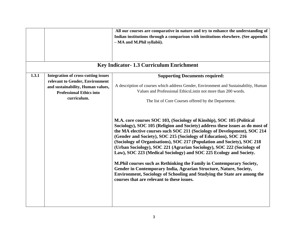|       |                                            | All our courses are comparative in nature and try to enhance the understanding of                                                                                                                                                                                                                                                                                                                                                                                                                                                |
|-------|--------------------------------------------|----------------------------------------------------------------------------------------------------------------------------------------------------------------------------------------------------------------------------------------------------------------------------------------------------------------------------------------------------------------------------------------------------------------------------------------------------------------------------------------------------------------------------------|
|       |                                            | Indian institutions through a comparison with institutions elsewhere. (See appendix                                                                                                                                                                                                                                                                                                                                                                                                                                              |
|       |                                            | - MA and M.Phil syllabii).                                                                                                                                                                                                                                                                                                                                                                                                                                                                                                       |
|       |                                            |                                                                                                                                                                                                                                                                                                                                                                                                                                                                                                                                  |
|       |                                            |                                                                                                                                                                                                                                                                                                                                                                                                                                                                                                                                  |
|       |                                            |                                                                                                                                                                                                                                                                                                                                                                                                                                                                                                                                  |
|       |                                            | Key Indicator-1.3 Curriculum Enrichment                                                                                                                                                                                                                                                                                                                                                                                                                                                                                          |
| 1.3.1 | <b>Integration of cross-cutting issues</b> | <b>Supporting Documents required:</b>                                                                                                                                                                                                                                                                                                                                                                                                                                                                                            |
|       | relevant to Gender, Environment            |                                                                                                                                                                                                                                                                                                                                                                                                                                                                                                                                  |
|       | and sustainability, Human values,          | A description of courses which address Gender, Environment and Sustainability, Human                                                                                                                                                                                                                                                                                                                                                                                                                                             |
|       | <b>Professional Ethics into</b>            | Values and Professional EthicsListin not more than 200 words.                                                                                                                                                                                                                                                                                                                                                                                                                                                                    |
|       | curriculum.                                | The list of Core Courses offered by the Department.                                                                                                                                                                                                                                                                                                                                                                                                                                                                              |
|       |                                            |                                                                                                                                                                                                                                                                                                                                                                                                                                                                                                                                  |
|       |                                            |                                                                                                                                                                                                                                                                                                                                                                                                                                                                                                                                  |
|       |                                            | M.A. core courses SOC 103, (Sociology of Kinship), SOC 105 (Political<br>Sociology), SOC 105 (Religion and Society) address these issues as do most of<br>the MA elective courses such SOC 211 (Sociology of Development), SOC 214<br>(Gender and Society), SOC 215 (Sociology of Education), SOC 216<br>(Sociology of Organisations), SOC 217 (Population and Society), SOC 218<br>(Urban Sociology), SOC 221 (Agrarian Sociology), SOC 222 (Sociology of<br>Law), SOC 223 (Medical Sociology) and SOC 225 Ecology and Society. |
|       |                                            | M. Phil courses such as Rethinking the Family in Contemporary Society,<br>Gender in Contemporary India, Agrarian Structure, Nature, Society,<br>Environment, Sociology of Schooling and Studying the State are among the<br>courses that are relevant to these issues.                                                                                                                                                                                                                                                           |
|       |                                            |                                                                                                                                                                                                                                                                                                                                                                                                                                                                                                                                  |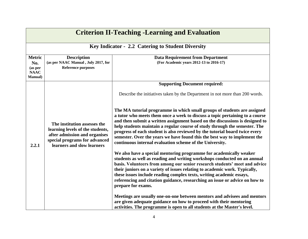| <b>Criterion II-Teaching -Learning and Evaluation</b>             |                                                                                                                                                                  |                                                                                                                                                                                                                                                                                                                                                                                                                                                                                                                                                                                                                                                                                                                                                                                                                                                                                                                                                                                                                                           |
|-------------------------------------------------------------------|------------------------------------------------------------------------------------------------------------------------------------------------------------------|-------------------------------------------------------------------------------------------------------------------------------------------------------------------------------------------------------------------------------------------------------------------------------------------------------------------------------------------------------------------------------------------------------------------------------------------------------------------------------------------------------------------------------------------------------------------------------------------------------------------------------------------------------------------------------------------------------------------------------------------------------------------------------------------------------------------------------------------------------------------------------------------------------------------------------------------------------------------------------------------------------------------------------------------|
|                                                                   |                                                                                                                                                                  | Key Indicator - 2.2 Catering to Student Diversity                                                                                                                                                                                                                                                                                                                                                                                                                                                                                                                                                                                                                                                                                                                                                                                                                                                                                                                                                                                         |
| <b>Metric</b><br>No.<br>(as per<br><b>NAAC</b><br><b>Manual</b> ) | <b>Description</b><br>(as per NAAC Manual, July 2017, for<br><b>Reference purposes</b>                                                                           | <b>Data Requirement from Department</b><br>(For Academic years 2012-13 to 2016-17)                                                                                                                                                                                                                                                                                                                                                                                                                                                                                                                                                                                                                                                                                                                                                                                                                                                                                                                                                        |
|                                                                   |                                                                                                                                                                  | <b>Supporting Document required:</b>                                                                                                                                                                                                                                                                                                                                                                                                                                                                                                                                                                                                                                                                                                                                                                                                                                                                                                                                                                                                      |
|                                                                   |                                                                                                                                                                  | Describe the initiatives taken by the Department in not more than 200 words.                                                                                                                                                                                                                                                                                                                                                                                                                                                                                                                                                                                                                                                                                                                                                                                                                                                                                                                                                              |
| 2.2.1                                                             | The institution assesses the<br>learning levels of the students,<br>after admission and organises<br>special programs for advanced<br>learners and slow learners | The MA tutorial programme in which small groups of students are assigned<br>a tutor who meets them once a week to discuss a topic pertaining to a course<br>and then submit a written assignment based on the discussions is designed to<br>help students maintain a regular course of study through the semester. The<br>progress of each student is also reviewed by the tutorial board twice every<br>semester. Over the years we have found this the best way to implement the<br>continuous internal evaluation scheme of the University.<br>We also have a special mentoring programme for academically weaker<br>students as well as reading and writing workshops conducted on an annual<br>basis. Volunteers from among our senior research students' meet and advice<br>their juniors on a variety of issues relating to academic work. Typically,<br>these issues include reading complex texts, writing academic essays,<br>referencing and citation guidance, researching an issue or advice on how to<br>prepare for exams. |
|                                                                   |                                                                                                                                                                  | Meetings are usually one-on-one between mentors and advisees and mentors<br>are given adequate guidance on how to proceed with their mentoring<br>activities. The programme is open to all students at the Master's level.                                                                                                                                                                                                                                                                                                                                                                                                                                                                                                                                                                                                                                                                                                                                                                                                                |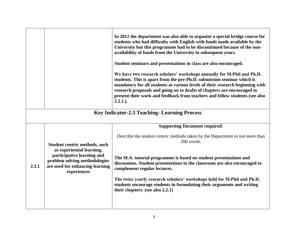|       |                                                                                                               | In 2012 the department was also able to organize a special bridge course for<br>students who had difficulty with English with funds made available by the<br>University but this programme had to be discontinued because of the non-<br>availability of funds from the University in subsequent years.<br>Student seminars and presentations in class are also encouraged.<br>We have two research scholars' workshops annually for M.Phil and Ph.D.<br>students. This is apart from the pre-Ph.D. submission seminar which is<br>mandatory for all students at various levels of their research beginning with<br>research proposals and going on to drafts of chapters are encouraged to<br>present their work and feedback from teachers and fellow students (see also<br>$2.2.1.$ ). |  |
|-------|---------------------------------------------------------------------------------------------------------------|-------------------------------------------------------------------------------------------------------------------------------------------------------------------------------------------------------------------------------------------------------------------------------------------------------------------------------------------------------------------------------------------------------------------------------------------------------------------------------------------------------------------------------------------------------------------------------------------------------------------------------------------------------------------------------------------------------------------------------------------------------------------------------------------|--|
|       |                                                                                                               | <b>Key Indicator-2.3 Teaching-Learning Process</b>                                                                                                                                                                                                                                                                                                                                                                                                                                                                                                                                                                                                                                                                                                                                        |  |
|       | <b>Supporting Document required:</b>                                                                          |                                                                                                                                                                                                                                                                                                                                                                                                                                                                                                                                                                                                                                                                                                                                                                                           |  |
|       | Student centric methods, such<br>as experiential learning,                                                    | Describe the student centric methods taken by the Department in not more than<br>200 words.                                                                                                                                                                                                                                                                                                                                                                                                                                                                                                                                                                                                                                                                                               |  |
| 2.3.1 | participative learning and<br>problem solving methodologies<br>are used for enhancing learning<br>experiences | The M.A. tutorial programme is based on student presentations and<br>discussions. Student presentations in the classroom are also encouraged to<br>complement regular lectures.                                                                                                                                                                                                                                                                                                                                                                                                                                                                                                                                                                                                           |  |
|       |                                                                                                               | The twice yearly research scholars' workshops held for M.Phil and Ph.D.<br>students encourage students in formulating their arguments and writing<br>their chapters. (see also 2.2.1)                                                                                                                                                                                                                                                                                                                                                                                                                                                                                                                                                                                                     |  |
|       |                                                                                                               |                                                                                                                                                                                                                                                                                                                                                                                                                                                                                                                                                                                                                                                                                                                                                                                           |  |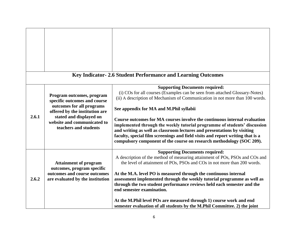|       |                                                                                                                                                                                                             | Key Indicator-2.6 Student Performance and Learning Outcomes                                                                                                                                                                                                                                                                                                                                                                                                                                                                                                                                                                                     |
|-------|-------------------------------------------------------------------------------------------------------------------------------------------------------------------------------------------------------------|-------------------------------------------------------------------------------------------------------------------------------------------------------------------------------------------------------------------------------------------------------------------------------------------------------------------------------------------------------------------------------------------------------------------------------------------------------------------------------------------------------------------------------------------------------------------------------------------------------------------------------------------------|
| 2.6.1 | Program outcomes, program<br>specific outcomes and course<br>outcomes for all programs<br>offered by the institution are<br>stated and displayed on<br>website and communicated to<br>teachers and students | <b>Supporting Documents required:</b><br>(i) COs for all courses (Examples can be seen from attached Glossary-Notes)<br>(ii) A description of Mechanism of Communication in not more than 100 words.<br>See appendix for MA and M.Phil syllabii<br>Course outcomes for MA courses involve the continuous internal evaluation<br>implemented through the weekly tutorial programme of students' discussion<br>and writing as well as classroom lectures and presentations by visiting<br>faculty, special film screenings and field visits and report writing that is a<br>compulsory component of the course on research methodology (SOC 209). |
| 2.6.2 | <b>Attainment of program</b><br>outcomes, program specific<br>outcomes and course outcomes<br>are evaluated by the institution                                                                              | <b>Supporting Documents required:</b><br>A description of the method of measuring attainment of POs, PSOs and COs and<br>the level of attainment of POs, PSOs and COs in not more than 200 words.<br>At the M.A. level PO is measured through the continuous internal<br>assessment implemented through the weekly tutorial programme as well as<br>through the two student performance reviews held each semester and the<br>end semester examination.<br>At the M.Phil level POs are measured through 1) course work and end<br>semester evaluation of all students by the M.Phil Committee. 2) the joint                                     |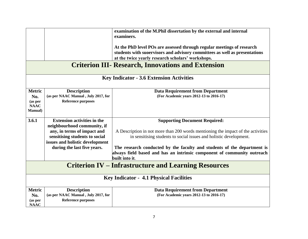|                      |                                                           | examination of the M.Phil dissertation by the external and internal<br>examiners.  |
|----------------------|-----------------------------------------------------------|------------------------------------------------------------------------------------|
|                      |                                                           |                                                                                    |
|                      |                                                           | At the PhD level POs are assessed through regular meetings of research             |
|                      |                                                           | students with sucervisors and advisory committees as well as presentations         |
|                      |                                                           | at the twice yearly research scholars' workshops.                                  |
|                      |                                                           | <b>Criterion III- Research, Innovations and Extension</b>                          |
|                      |                                                           | <b>Key Indicator - 3.6 Extension Activities</b>                                    |
| <b>Metric</b>        | <b>Description</b>                                        | <b>Data Requirement from Department</b>                                            |
| No.                  | (as per NAAC Manual, July 2017, for                       | (For Academic years 2012-13 to 2016-17)                                            |
| (as per              | <b>Reference purposes</b>                                 |                                                                                    |
| <b>NAAC</b>          |                                                           |                                                                                    |
| <b>Manual</b> )      |                                                           |                                                                                    |
| 3.6.1                | <b>Extension activities in the</b>                        | <b>Supporting Document Required:</b>                                               |
|                      | neighbourhood community, if                               |                                                                                    |
|                      | any, in terms of impact and                               | A Description in not more than 200 words mentioning the impact of the activities   |
|                      | sensitising students to social                            | in sensitising students to social issues and holistic development.                 |
|                      | issues and holistic development                           |                                                                                    |
|                      | during the last five years.                               | The research conducted by the faculty and students of the department is            |
|                      |                                                           | always field based and has an intrinsic component of community outreach            |
|                      |                                                           | built into it.                                                                     |
|                      |                                                           | <b>Criterion IV – Infrastructure and Learning Resources</b>                        |
|                      |                                                           | <b>Key Indicator - 4.1 Physical Facilities</b>                                     |
|                      |                                                           |                                                                                    |
| <b>Metric</b><br>No. | <b>Description</b><br>(as per NAAC Manual, July 2017, for | <b>Data Requirement from Department</b><br>(For Academic years 2012-13 to 2016-17) |
| (as per              | <b>Reference purposes</b>                                 |                                                                                    |
| <b>NAAC</b>          |                                                           |                                                                                    |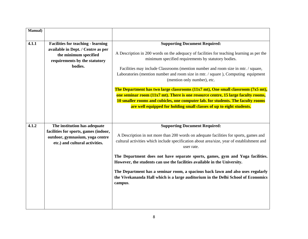| Manual) |                                                                                                                                                      |                                                                                                                                                                                                                                                                                                                                                                                                                                                                                                                                                                                                                                                                                                                                         |
|---------|------------------------------------------------------------------------------------------------------------------------------------------------------|-----------------------------------------------------------------------------------------------------------------------------------------------------------------------------------------------------------------------------------------------------------------------------------------------------------------------------------------------------------------------------------------------------------------------------------------------------------------------------------------------------------------------------------------------------------------------------------------------------------------------------------------------------------------------------------------------------------------------------------------|
| 4.1.1   | <b>Facilities for teaching - learning</b><br>available in Dept. / Centre as per<br>the minimum specified<br>requirements by the statutory<br>bodies. | <b>Supporting Document Required:</b><br>A Description in 200 words on the adequacy of facilities for teaching learning as per the<br>minimum specified requirements by statutory bodies.<br>Facilities may include Classrooms (mention number and room size in mtr. / square,<br>Laboratories (mention number and room size in mtr. / square ), Computing equipment<br>(mention only number), etc.<br>The Department has two large classrooms (11x7 mt), One small classroom (7x5 mt),<br>one seminar room (11x7 mt). There is one resource centre, 15 large faculty rooms,<br>10 smaller rooms and cubicles, one computer lab. for students. The faculty rooms<br>are well equipped for holding small classes of up to eight students. |
| 4.1.2   | The institution has adequate<br>facilities for sports, games (indoor,<br>outdoor, gymnasium, yoga centre<br>etc.) and cultural activities.           | <b>Supporting Document Required:</b><br>A Description in not more than 200 words on adequate facilities for sports, games and<br>cultural activities which include specification about area/size, year of establishment and<br>user rate.<br>The Department does not have separate sports, games, gym and Yoga facilities.<br>However, the students can use the facilities available in the University.<br>The Department has a seminar room, a spacious back lawn and also uses regularly<br>the Vivekananda Hall which is a large auditorium in the Delhi School of Economics<br>campus.                                                                                                                                              |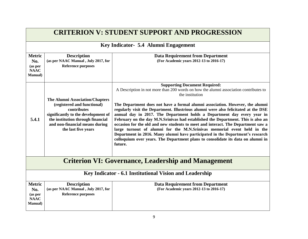| <b>CRITERION V: STUDENT SUPPORT AND PROGRESSION</b>               |                                                                                                                                                                                                                           |                                                                                                                                                                                                                                                                                                                                                                                                                                                                                                                                                                                                                                                                                                                                                                                                                                         |
|-------------------------------------------------------------------|---------------------------------------------------------------------------------------------------------------------------------------------------------------------------------------------------------------------------|-----------------------------------------------------------------------------------------------------------------------------------------------------------------------------------------------------------------------------------------------------------------------------------------------------------------------------------------------------------------------------------------------------------------------------------------------------------------------------------------------------------------------------------------------------------------------------------------------------------------------------------------------------------------------------------------------------------------------------------------------------------------------------------------------------------------------------------------|
|                                                                   |                                                                                                                                                                                                                           | Key Indicator- 5.4 Alumni Engagement                                                                                                                                                                                                                                                                                                                                                                                                                                                                                                                                                                                                                                                                                                                                                                                                    |
| <b>Metric</b><br>No.<br>(as per<br><b>NAAC</b><br><b>Manual</b> ) | <b>Description</b><br>(as per NAAC Manual, July 2017, for<br><b>Reference purposes</b>                                                                                                                                    | <b>Data Requirement from Department</b><br>(For Academic years 2012-13 to 2016-17)                                                                                                                                                                                                                                                                                                                                                                                                                                                                                                                                                                                                                                                                                                                                                      |
| 5.4.1                                                             | <b>The Alumni Association/Chapters</b><br>(registered and functional)<br>contributes<br>significantly to the development of<br>the institution through financial<br>and non-financial means during<br>the last five years | <b>Supporting Document Required:</b><br>A Description in not more than 200 words on how the alumni association contributes to<br>the institution<br>The Department does not have a formal alumni association. However, the alumni<br>regularly visit the Department. Illustrious alumni were also felicitated at the DSE<br>annual day in 2017. The Department holds a Department day every year in<br>February on the day M.N.Srinivas had established the Department. This is also an<br>occasion for the old and new students to meet and interact. The Department saw a<br>large turnout of alumni for the M.N.Srinivas memorial event held in the<br>Department in 2016. Many alumni have participated in the Department's research<br>colloquium over years. The Department plans to consolidate its data on alumni in<br>future. |
| <b>Criterion VI: Governance, Leadership and Management</b>        |                                                                                                                                                                                                                           |                                                                                                                                                                                                                                                                                                                                                                                                                                                                                                                                                                                                                                                                                                                                                                                                                                         |
| Key Indicator - 6.1 Institutional Vision and Leadership           |                                                                                                                                                                                                                           |                                                                                                                                                                                                                                                                                                                                                                                                                                                                                                                                                                                                                                                                                                                                                                                                                                         |
| <b>Metric</b><br>No.<br>(as per<br><b>NAAC</b><br><b>Manual</b> ) | <b>Description</b><br>(as per NAAC Manual, July 2017, for<br><b>Reference purposes</b>                                                                                                                                    | <b>Data Requirement from Department</b><br>(For Academic years 2012-13 to 2016-17)                                                                                                                                                                                                                                                                                                                                                                                                                                                                                                                                                                                                                                                                                                                                                      |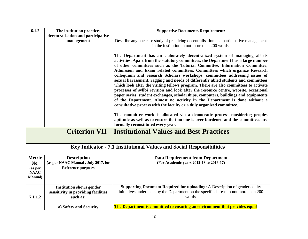| 6.1.2                                                          | The institution practices                                            | <b>Supportive Documents Requirement:</b>                                                                                                                                                                                                                                                                                                                                                                                                                                                                                                                                                                                                                                                                                                                                                                                                                                                                                                                                                                                                                                                        |  |
|----------------------------------------------------------------|----------------------------------------------------------------------|-------------------------------------------------------------------------------------------------------------------------------------------------------------------------------------------------------------------------------------------------------------------------------------------------------------------------------------------------------------------------------------------------------------------------------------------------------------------------------------------------------------------------------------------------------------------------------------------------------------------------------------------------------------------------------------------------------------------------------------------------------------------------------------------------------------------------------------------------------------------------------------------------------------------------------------------------------------------------------------------------------------------------------------------------------------------------------------------------|--|
|                                                                | decentralisation and participative                                   |                                                                                                                                                                                                                                                                                                                                                                                                                                                                                                                                                                                                                                                                                                                                                                                                                                                                                                                                                                                                                                                                                                 |  |
|                                                                | management                                                           | Describe any one case study of practicing decentralisation and participative management                                                                                                                                                                                                                                                                                                                                                                                                                                                                                                                                                                                                                                                                                                                                                                                                                                                                                                                                                                                                         |  |
|                                                                |                                                                      | in the institution in not more than 200 words.                                                                                                                                                                                                                                                                                                                                                                                                                                                                                                                                                                                                                                                                                                                                                                                                                                                                                                                                                                                                                                                  |  |
|                                                                |                                                                      | The Department has an elaborately decentralized system of managing all its<br>activities. Apart from the statutory committees, the Department has a large number<br>of other committees such as the Tutorial Committee, Information Committee,<br>Admission and Exam related committees, Committees which organize Research<br>colloquium and research Scholars workshops, committees addressing issues of<br>sexual harassment, ragging and needs of differently abled students and committees<br>which look after the visiting fellows program. There are also committees to activate<br>processes of syllbi revision and look after the resource centre, website, occasional<br>paper series, student exchanges, scholarships, computers, buildings and equipments<br>of the Department. Almost no activity in the Department is done without a<br>consultative process with the faculty or a duly organized committee.<br>The committee work is allocated via a democratic process considering peoples<br>aptitude as well as to ensure that no one is over burdened and the committees are |  |
|                                                                |                                                                      | formally reconstituted every year.                                                                                                                                                                                                                                                                                                                                                                                                                                                                                                                                                                                                                                                                                                                                                                                                                                                                                                                                                                                                                                                              |  |
| <b>Criterion VII – Institutional Values and Best Practices</b> |                                                                      |                                                                                                                                                                                                                                                                                                                                                                                                                                                                                                                                                                                                                                                                                                                                                                                                                                                                                                                                                                                                                                                                                                 |  |
|                                                                | Key Indicator - 7.1 Institutional Values and Social Responsibilities |                                                                                                                                                                                                                                                                                                                                                                                                                                                                                                                                                                                                                                                                                                                                                                                                                                                                                                                                                                                                                                                                                                 |  |
| <b>Metric</b>                                                  | <b>Description</b>                                                   | <b>Data Requirement from Department</b>                                                                                                                                                                                                                                                                                                                                                                                                                                                                                                                                                                                                                                                                                                                                                                                                                                                                                                                                                                                                                                                         |  |
| No.                                                            | (as per NAAC Manual, July 2017, for                                  | (For Academic years 2012-13 to 2016-17)                                                                                                                                                                                                                                                                                                                                                                                                                                                                                                                                                                                                                                                                                                                                                                                                                                                                                                                                                                                                                                                         |  |
| (as per<br><b>NAAC</b><br><b>Manual</b> )                      | <b>Reference purposes</b>                                            |                                                                                                                                                                                                                                                                                                                                                                                                                                                                                                                                                                                                                                                                                                                                                                                                                                                                                                                                                                                                                                                                                                 |  |
|                                                                | <b>Institution shows gender</b>                                      | Supporting Document Required for uploading: A Description of gender equity                                                                                                                                                                                                                                                                                                                                                                                                                                                                                                                                                                                                                                                                                                                                                                                                                                                                                                                                                                                                                      |  |
| 7.1.1.2                                                        | sensitivity in providing facilities<br>such as:                      | initiatives undertaken by the Department on the specified areas in not more than 200<br>words.                                                                                                                                                                                                                                                                                                                                                                                                                                                                                                                                                                                                                                                                                                                                                                                                                                                                                                                                                                                                  |  |
|                                                                | a) Safety and Security                                               | The Department is committed to ensuring an environment that provides equal                                                                                                                                                                                                                                                                                                                                                                                                                                                                                                                                                                                                                                                                                                                                                                                                                                                                                                                                                                                                                      |  |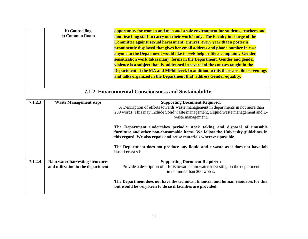|         | b) Counselling<br>c) Common Room                                      | opportunity for women and men and a safe environment for students, teachers and<br>non-teaching staff to carry out their work/study. The Faculty in charge of the<br><b>Committee against sexual harassment ensures every year that a poster is</b><br>prominently displayed that gives her email address and phone number in case<br>anyone in the Department would like to seek help or file a complaint. Gender<br>sensitization work takes many forms in the Department. Gender and gender<br>violence is a subject that is addressed in several of the courses taught in the<br>Department at the MA and MPhil level. In addition to this there are film screenings<br>and talks organized in the Department that address Gender equality. |
|---------|-----------------------------------------------------------------------|-------------------------------------------------------------------------------------------------------------------------------------------------------------------------------------------------------------------------------------------------------------------------------------------------------------------------------------------------------------------------------------------------------------------------------------------------------------------------------------------------------------------------------------------------------------------------------------------------------------------------------------------------------------------------------------------------------------------------------------------------|
|         |                                                                       | 7.1.2 Environmental Consciousness and Sustainability                                                                                                                                                                                                                                                                                                                                                                                                                                                                                                                                                                                                                                                                                            |
| 7.1.2.3 | <b>Waste Management steps</b>                                         | <b>Supporting Document Required:</b><br>A Description of efforts towards waste management in departments in not more than<br>200 words. This may include Solid waste management, Liquid waste management and E-<br>waste management.                                                                                                                                                                                                                                                                                                                                                                                                                                                                                                            |
|         |                                                                       | The Department undertakes periodic stock taking and disposal of unusable<br>furniture and other non-consumable items. We follow the University guidelines in<br>this regard. We also repair and reuse materials wherever possible.                                                                                                                                                                                                                                                                                                                                                                                                                                                                                                              |
|         |                                                                       | The Department does not produce any liquid and e-waste as it does not have lab<br>based research.                                                                                                                                                                                                                                                                                                                                                                                                                                                                                                                                                                                                                                               |
| 7.1.2.4 | Rain water harvesting structures<br>and utilization in the department | <b>Supporting Document Required:</b><br>Provide a description of efforts towards rain water harvesting on the department<br>in not more than 200 words.                                                                                                                                                                                                                                                                                                                                                                                                                                                                                                                                                                                         |
|         |                                                                       | The Department does not have the technical, financial and human resources for this<br>but would be very keen to do so if facilities are provided.                                                                                                                                                                                                                                                                                                                                                                                                                                                                                                                                                                                               |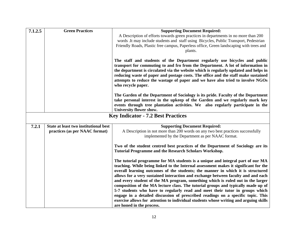| 7.1.2.5 | <b>Green Practices</b>                | <b>Supporting Document Required:</b>                                                                                                                                                                                                                                                                                                                                                                                                                |
|---------|---------------------------------------|-----------------------------------------------------------------------------------------------------------------------------------------------------------------------------------------------------------------------------------------------------------------------------------------------------------------------------------------------------------------------------------------------------------------------------------------------------|
|         |                                       | A Description of efforts towards green practices in departments in no more than 200                                                                                                                                                                                                                                                                                                                                                                 |
|         |                                       | words .It may include students and staff using Bicycles, Public Transport, Pedestrian                                                                                                                                                                                                                                                                                                                                                               |
|         |                                       | Friendly Roads, Plastic free campus, Paperless office, Green landscaping with trees and                                                                                                                                                                                                                                                                                                                                                             |
|         |                                       | plants.                                                                                                                                                                                                                                                                                                                                                                                                                                             |
|         |                                       | The staff and students of the Department regularly use bicycles and public<br>transport for commuting to and fro from the Department. A lot of information in<br>the department is circulated via the website which is regularly updated and helps in<br>reducing waste of paper and postage costs. The office and the staff make sustained<br>attempts to reduce the wastage of paper and we have also tried to involve NGOs<br>who recycle paper. |
|         |                                       | The Garden of the Department of Sociology is its pride. Faculty of the Department                                                                                                                                                                                                                                                                                                                                                                   |
|         |                                       | take personal interest in the upkeep of the Garden and we regularly mark key                                                                                                                                                                                                                                                                                                                                                                        |
|         |                                       | events through tree plantation activities. We also regularly participate in the<br><b>University flower show.</b>                                                                                                                                                                                                                                                                                                                                   |
|         |                                       | <b>Key Indicator - 7.2 Best Practices</b>                                                                                                                                                                                                                                                                                                                                                                                                           |
|         |                                       |                                                                                                                                                                                                                                                                                                                                                                                                                                                     |
| 7.2.1   | State at least two institutional best | <b>Supporting Document Required:</b>                                                                                                                                                                                                                                                                                                                                                                                                                |
|         | practices (as per NAAC format)        | A Description in not more than 200 words on any two best practices successfully                                                                                                                                                                                                                                                                                                                                                                     |
|         |                                       | implemented by the Department as per NAAC format.                                                                                                                                                                                                                                                                                                                                                                                                   |
|         |                                       | Two of the student centred best practices of the Department of Sociology are its<br><b>Tutorial Programme and the Research Scholars Workshop.</b>                                                                                                                                                                                                                                                                                                   |
|         |                                       | The tutorial programme for MA students is a unique and integral part of our MA<br>teaching. While being linked to the Internal assessment makes it significant for the<br>overall learning outcomes of the students; the manner in which it is structured<br>allows for a very sustained interaction and exchange between faculty and and each                                                                                                      |
|         |                                       | and every student of the MA program, something which is ruled out in the larger<br>composition of the MA lecture class. The tutorial groups and typically made up of                                                                                                                                                                                                                                                                                |
|         |                                       | 5-7 students who have to regularly read and meet their tutor in groups which<br>engage in a detailed discussion of prescribed readings on a specific topic. This                                                                                                                                                                                                                                                                                    |
|         |                                       | exercise allows for attention to individual students whose writing and arguing skills                                                                                                                                                                                                                                                                                                                                                               |
|         |                                       | are honed in the process.                                                                                                                                                                                                                                                                                                                                                                                                                           |